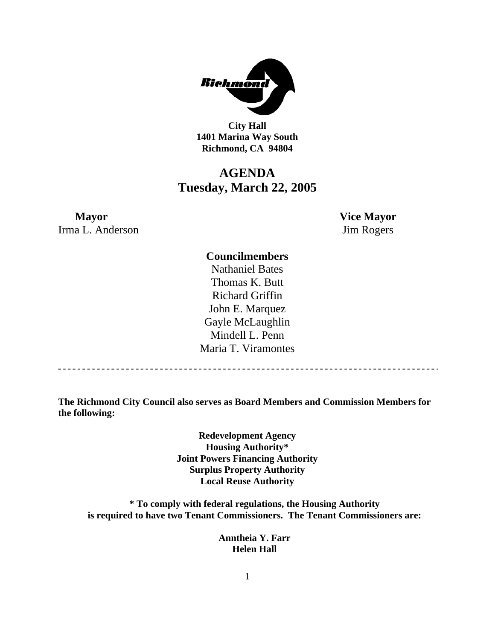

**City Hall 1401 Marina Way South Richmond, CA 94804** 

### **AGENDA Tuesday, March 22, 2005**

### **Mayor** Vice Mayor Irma L. Anderson Jim Rogers

### **Councilmembers**

Nathaniel Bates Thomas K. Butt Richard Griffin John E. Marquez Gayle McLaughlin Mindell L. Penn Maria T. Viramontes

**The Richmond City Council also serves as Board Members and Commission Members for the following:** 

> **Redevelopment Agency Housing Authority\* Joint Powers Financing Authority Surplus Property Authority Local Reuse Authority**

**\* To comply with federal regulations, the Housing Authority is required to have two Tenant Commissioners. The Tenant Commissioners are:** 

> **Anntheia Y. Farr Helen Hall**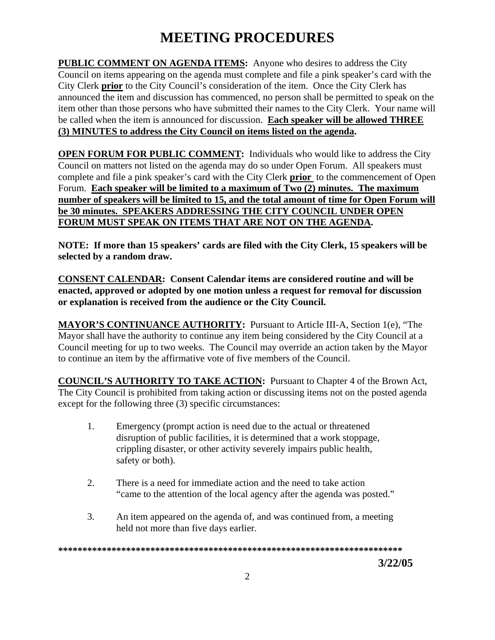## **MEETING PROCEDURES**

**PUBLIC COMMENT ON AGENDA ITEMS:** Anyone who desires to address the City Council on items appearing on the agenda must complete and file a pink speaker's card with the City Clerk **prior** to the City Council's consideration of the item. Once the City Clerk has announced the item and discussion has commenced, no person shall be permitted to speak on the item other than those persons who have submitted their names to the City Clerk. Your name will be called when the item is announced for discussion. **Each speaker will be allowed THREE (3) MINUTES to address the City Council on items listed on the agenda.** 

**OPEN FORUM FOR PUBLIC COMMENT:** Individuals who would like to address the City Council on matters not listed on the agenda may do so under Open Forum. All speakers must complete and file a pink speaker's card with the City Clerk **prior** to the commencement of Open Forum. **Each speaker will be limited to a maximum of Two (2) minutes. The maximum number of speakers will be limited to 15, and the total amount of time for Open Forum will be 30 minutes. SPEAKERS ADDRESSING THE CITY COUNCIL UNDER OPEN FORUM MUST SPEAK ON ITEMS THAT ARE NOT ON THE AGENDA.** 

**NOTE: If more than 15 speakers' cards are filed with the City Clerk, 15 speakers will be selected by a random draw.** 

**CONSENT CALENDAR: Consent Calendar items are considered routine and will be enacted, approved or adopted by one motion unless a request for removal for discussion or explanation is received from the audience or the City Council.** 

**MAYOR'S CONTINUANCE AUTHORITY:** Pursuant to Article III-A, Section 1(e), "The Mayor shall have the authority to continue any item being considered by the City Council at a Council meeting for up to two weeks. The Council may override an action taken by the Mayor to continue an item by the affirmative vote of five members of the Council.

**COUNCIL'S AUTHORITY TO TAKE ACTION:** Pursuant to Chapter 4 of the Brown Act, The City Council is prohibited from taking action or discussing items not on the posted agenda except for the following three (3) specific circumstances:

- 1. Emergency (prompt action is need due to the actual or threatened disruption of public facilities, it is determined that a work stoppage, crippling disaster, or other activity severely impairs public health, safety or both).
- 2. There is a need for immediate action and the need to take action "came to the attention of the local agency after the agenda was posted."
- 3. An item appeared on the agenda of, and was continued from, a meeting held not more than five days earlier.

**\*\*\*\*\*\*\*\*\*\*\*\*\*\*\*\*\*\*\*\*\*\*\*\*\*\*\*\*\*\*\*\*\*\*\*\*\*\*\*\*\*\*\*\*\*\*\*\*\*\*\*\*\*\*\*\*\*\*\*\*\*\*\*\*\*\*\*\*\*\*\*** 

 **3/22/05**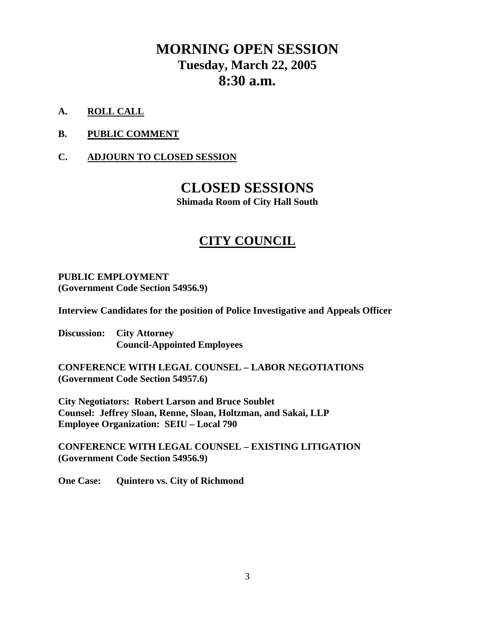### **MORNING OPEN SESSION Tuesday, March 22, 2005 8:30 a.m.**

- **A. ROLL CALL**
- **B. PUBLIC COMMENT**
- **C. ADJOURN TO CLOSED SESSION**

### **CLOSED SESSIONS**

**Shimada Room of City Hall South** 

### **CITY COUNCIL**

### **PUBLIC EMPLOYMENT (Government Code Section 54956.9)**

**Interview Candidates for the position of Police Investigative and Appeals Officer** 

**Discussion: City Attorney Council-Appointed Employees** 

**CONFERENCE WITH LEGAL COUNSEL – LABOR NEGOTIATIONS (Government Code Section 54957.6)** 

**City Negotiators: Robert Larson and Bruce Soublet Counsel: Jeffrey Sloan, Renne, Sloan, Holtzman, and Sakai, LLP Employee Organization: SEIU – Local 790** 

**CONFERENCE WITH LEGAL COUNSEL – EXISTING LITIGATION (Government Code Section 54956.9)** 

**One Case: Quintero vs. City of Richmond**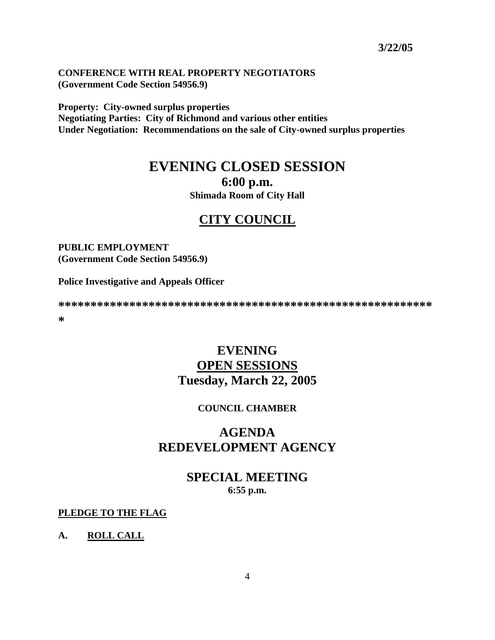#### **CONFERENCE WITH REAL PROPERTY NEGOTIATORS (Government Code Section 54956.9)**

**Property: City-owned surplus properties** 

**Negotiating Parties: City of Richmond and various other entities Under Negotiation: Recommendations on the sale of City-owned surplus properties** 

# **EVENING CLOSED SESSION**

**6:00 p.m.** 

**Shimada Room of City Hall** 

### **CITY COUNCIL**

#### **PUBLIC EMPLOYMENT (Government Code Section 54956.9)**

**Police Investigative and Appeals Officer** 

**\*\*\*\*\*\*\*\*\*\*\*\*\*\*\*\*\*\*\*\*\*\*\*\*\*\*\*\*\*\*\*\*\*\*\*\*\*\*\*\*\*\*\*\*\*\*\*\*\*\*\*\*\*\*\*\*\*\* \*** 

### **EVENING OPEN SESSIONS Tuesday, March 22, 2005**

### **COUNCIL CHAMBER**

### **AGENDA REDEVELOPMENT AGENCY**

**SPECIAL MEETING 6:55 p.m.** 

**PLEDGE TO THE FLAG**

**A. ROLL CALL**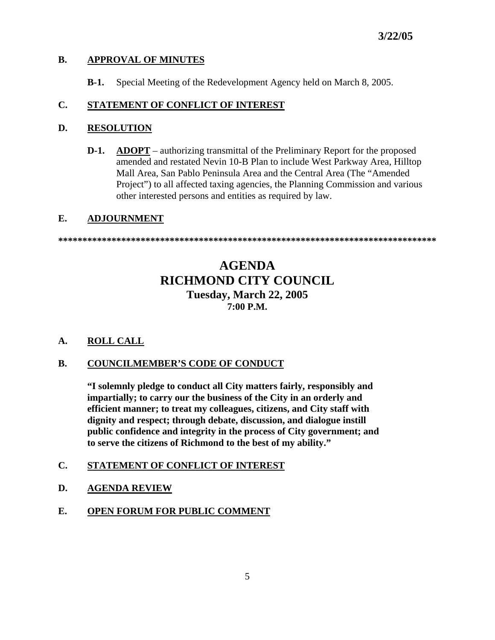### **B. APPROVAL OF MINUTES**

 **B-1.** Special Meeting of the Redevelopment Agency held on March 8, 2005.

### **C. STATEMENT OF CONFLICT OF INTEREST**

### **D. RESOLUTION**

**D-1. ADOPT** – authorizing transmittal of the Preliminary Report for the proposed amended and restated Nevin 10-B Plan to include West Parkway Area, Hilltop Mall Area, San Pablo Peninsula Area and the Central Area (The "Amended Project") to all affected taxing agencies, the Planning Commission and various other interested persons and entities as required by law.

### **E. ADJOURNMENT**

**\*\*\*\*\*\*\*\*\*\*\*\*\*\*\*\*\*\*\*\*\*\*\*\*\*\*\*\*\*\*\*\*\*\*\*\*\*\*\*\*\*\*\*\*\*\*\*\*\*\*\*\*\*\*\*\*\*\*\*\*\*\*\*\*\*\*\*\*\*\*\*\*\*\*\*\*\*\*** 

### **AGENDA RICHMOND CITY COUNCIL Tuesday, March 22, 2005 7:00 P.M.**

### **A. ROLL CALL**

### **B. COUNCILMEMBER'S CODE OF CONDUCT**

 **"I solemnly pledge to conduct all City matters fairly, responsibly and impartially; to carry our the business of the City in an orderly and efficient manner; to treat my colleagues, citizens, and City staff with dignity and respect; through debate, discussion, and dialogue instill public confidence and integrity in the process of City government; and to serve the citizens of Richmond to the best of my ability."** 

### **C. STATEMENT OF CONFLICT OF INTEREST**

- **D. AGENDA REVIEW**
- **E. OPEN FORUM FOR PUBLIC COMMENT**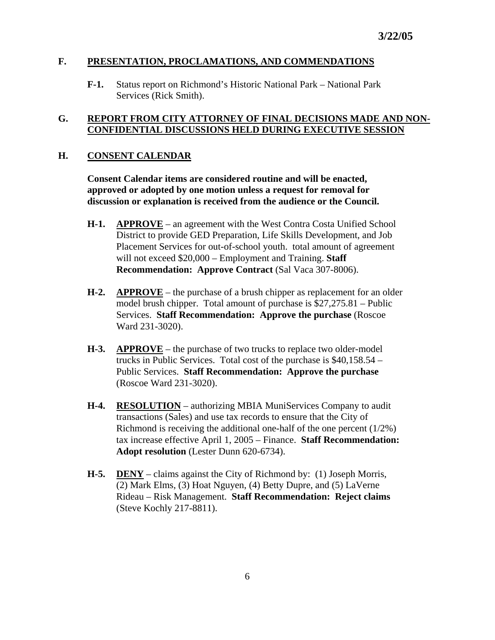### **F. PRESENTATION, PROCLAMATIONS, AND COMMENDATIONS**

 **F-1.** Status report on Richmond's Historic National Park – National Park Services (Rick Smith).

#### **G. REPORT FROM CITY ATTORNEY OF FINAL DECISIONS MADE AND NON-CONFIDENTIAL DISCUSSIONS HELD DURING EXECUTIVE SESSION**

#### **H. CONSENT CALENDAR**

 **Consent Calendar items are considered routine and will be enacted, approved or adopted by one motion unless a request for removal for discussion or explanation is received from the audience or the Council.** 

- **H-1. APPROVE** an agreement with the West Contra Costa Unified School District to provide GED Preparation, Life Skills Development, and Job Placement Services for out-of-school youth. total amount of agreement will not exceed \$20,000 – Employment and Training. **Staff Recommendation: Approve Contract (Sal Vaca 307-8006).**
- **H-2. APPROVE** the purchase of a brush chipper as replacement for an older model brush chipper. Total amount of purchase is \$27,275.81 – Public Services. **Staff Recommendation: Approve the purchase** (Roscoe Ward 231-3020).
- **H-3. APPROVE** the purchase of two trucks to replace two older-model trucks in Public Services. Total cost of the purchase is \$40,158.54 – Public Services. **Staff Recommendation: Approve the purchase** (Roscoe Ward 231-3020).
- **H-4. RESOLUTION** authorizing MBIA MuniServices Company to audit transactions (Sales) and use tax records to ensure that the City of Richmond is receiving the additional one-half of the one percent (1/2%) tax increase effective April 1, 2005 – Finance. **Staff Recommendation: Adopt resolution** (Lester Dunn 620-6734).
- **H-5. DENY** claims against the City of Richmond by: (1) Joseph Morris, (2) Mark Elms, (3) Hoat Nguyen, (4) Betty Dupre, and (5) LaVerne Rideau – Risk Management. **Staff Recommendation: Reject claims** (Steve Kochly 217-8811).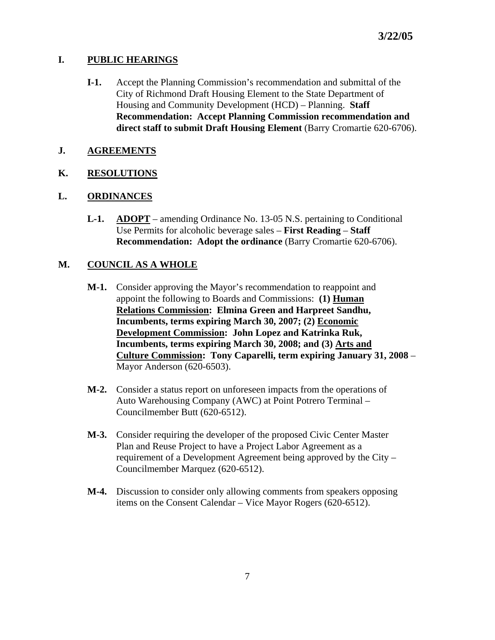### **I. PUBLIC HEARINGS**

- **I-1.** Accept the Planning Commission's recommendation and submittal of the City of Richmond Draft Housing Element to the State Department of Housing and Community Development (HCD) – Planning. **Staff Recommendation: Accept Planning Commission recommendation and direct staff to submit Draft Housing Element** (Barry Cromartie 620-6706).
- **J. AGREEMENTS**

### **K. RESOLUTIONS**

### **L. ORDINANCES**

 **L-1. ADOPT** – amending Ordinance No. 13-05 N.S. pertaining to Conditional Use Permits for alcoholic beverage sales – **First Reading** – **Staff Recommendation: Adopt the ordinance (Barry Cromartie 620-6706).** 

### **M. COUNCIL AS A WHOLE**

- **M-1.** Consider approving the Mayor's recommendation to reappoint and appoint the following to Boards and Commissions: **(1) Human Relations Commission: Elmina Green and Harpreet Sandhu, Incumbents, terms expiring March 30, 2007; (2) Economic Development Commission: John Lopez and Katrinka Ruk, Incumbents, terms expiring March 30, 2008; and (3) Arts and Culture Commission: Tony Caparelli, term expiring January 31, 2008** – Mayor Anderson (620-6503).
- **M-2.** Consider a status report on unforeseen impacts from the operations of Auto Warehousing Company (AWC) at Point Potrero Terminal – Councilmember Butt (620-6512).
- **M-3.** Consider requiring the developer of the proposed Civic Center Master Plan and Reuse Project to have a Project Labor Agreement as a requirement of a Development Agreement being approved by the City – Councilmember Marquez (620-6512).
- **M-4.** Discussion to consider only allowing comments from speakers opposing items on the Consent Calendar – Vice Mayor Rogers (620-6512).